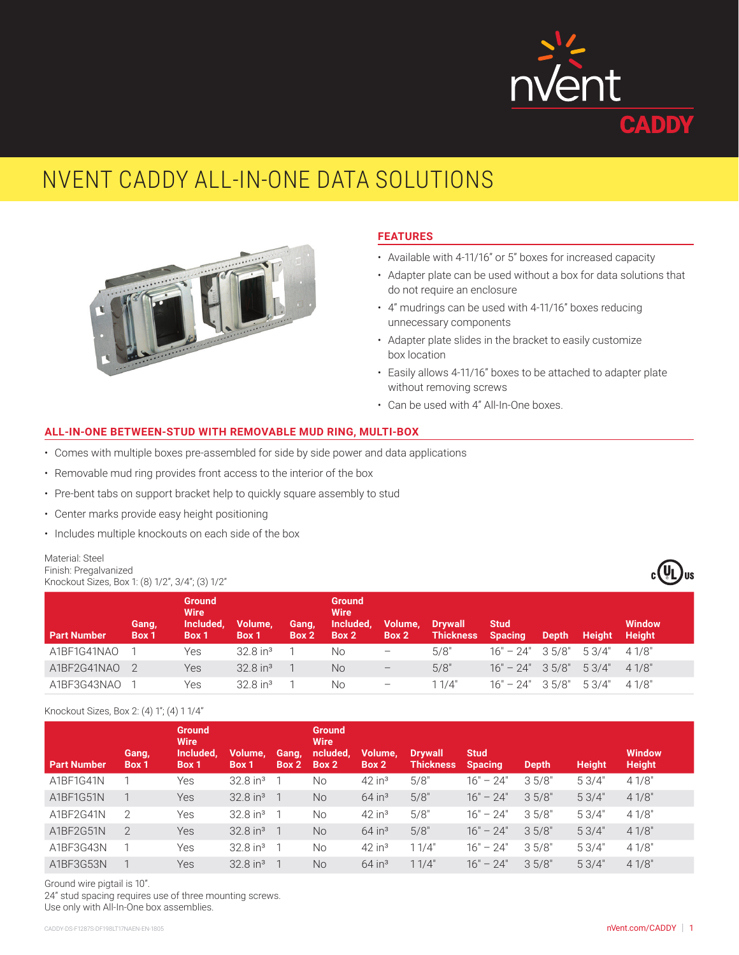

# NVENT CADDY ALL-IN-ONE DATA SOLUTIONS



# **FEATURES**

- Available with 4-11/16" or 5" boxes for increased capacity
- Adapter plate can be used without a box for data solutions that do not require an enclosure
- 4" mudrings can be used with 4-11/16" boxes reducing unnecessary components
- Adapter plate slides in the bracket to easily customize box location
- Easily allows 4-11/16" boxes to be attached to adapter plate without removing screws
- Can be used with 4" All-In-One boxes.

#### **ALL-IN-ONE BETWEEN-STUD WITH REMOVABLE MUD RING, MULTI-BOX**

- Comes with multiple boxes pre-assembled for side by side power and data applications
- Removable mud ring provides front access to the interior of the box
- Pre-bent tabs on support bracket help to quickly square assembly to stud
- Center marks provide easy height positioning
- Includes multiple knockouts on each side of the box

#### Material: Steel Finish: Pregalvanized Knockout Sizes, Box 1: (8) 1/2", 3/4"; (3) 1/2"

| <b>Part Number</b> | Gang,<br>Box 1 | <b>Ground</b><br><b>Wire</b><br>Included,<br>Box 1 | Volume.<br>Box 1       | Gang.<br>Box 2 | <b>Ground</b><br><b>Wire</b><br>Included,<br>Box 2 | Volume, Drywall,<br>Box 2 | <b>Thickness</b> | <b>Stud</b><br><b>Spacing</b> | Depth | <b>Height</b> | <b>Window</b><br>Heiaht |
|--------------------|----------------|----------------------------------------------------|------------------------|----------------|----------------------------------------------------|---------------------------|------------------|-------------------------------|-------|---------------|-------------------------|
| A1BF1G41NAO        |                | Yes                                                | $32.8$ in <sup>3</sup> |                | No.                                                | $\overline{\phantom{0}}$  | 5/8"             | $16" - 24" 35/8"$             |       | 5 3/4"        | 4 1/8"                  |
| $A1BF2G41NAO$ 2    |                | Yes                                                | $32.8$ in <sup>3</sup> |                | N <sub>o</sub>                                     | $\overline{\phantom{a}}$  | 5/8"             | $16" - 24" 35/8"$             |       | 5.3/4"        | 41/8"                   |
| A1BF3G43NAO        |                | Yes                                                | $32.8$ in <sup>3</sup> |                | No.                                                | $\overline{\phantom{m}}$  | 11/4"            | $16" - 24" 35/8"$             |       | 5 3/4"        | 4 1/8"                  |

#### Knockout Sizes, Box 2: (4) 1"; (4) 1 1/4"

| <b>Part Number</b> | Gang,<br>Box 1 | <b>Ground</b><br><b>Wire</b><br>Included,<br>Box 1 | Volume.<br>Box 1       | Gang,<br>Box 2 | <b>Ground</b><br><b>Wire</b><br>ncluded,<br>Box 2 | Volume,<br>Box 2     | <b>Drvwall</b><br><b>Thickness</b> | <b>Stud</b><br><b>Spacing</b> | <b>Depth</b> | <b>Height</b> | <b>Window</b><br><b>Height</b> |
|--------------------|----------------|----------------------------------------------------|------------------------|----------------|---------------------------------------------------|----------------------|------------------------------------|-------------------------------|--------------|---------------|--------------------------------|
| A1BF1G41N          |                | Yes                                                | $32.8$ in <sup>3</sup> |                | <b>No</b>                                         | $42$ in <sup>3</sup> | 5/8"                               | $16" - 24"$                   | 3.5/8"       | 53/4"         | 41/8"                          |
| A1BF1G51N          |                | Yes                                                | $32.8$ in <sup>3</sup> |                | <b>No</b>                                         | $64$ in <sup>3</sup> | 5/8"                               | $16" - 24"$                   | 35/8"        | 53/4"         | 41/8"                          |
| A1BF2G41N          | $\overline{2}$ | Yes                                                | $32.8$ in <sup>3</sup> |                | <b>No</b>                                         | $42$ in <sup>3</sup> | 5/8"                               | $16" - 24"$                   | 3.5/8"       | 53/4"         | 41/8"                          |
| A1BF2G51N          | $\overline{2}$ | Yes                                                | $32.8$ in <sup>3</sup> |                | <b>No</b>                                         | $64$ in <sup>3</sup> | 5/8"                               | $16" - 24"$                   | 35/8"        | 53/4"         | 41/8"                          |
| A1BF3G43N          |                | Yes                                                | $32.8$ in <sup>3</sup> |                | <b>No</b>                                         | $42$ in <sup>3</sup> | 11/4"                              | $16" - 24"$                   | 3.5/8"       | 53/4"         | 41/8"                          |
| A1BF3G53N          |                | Yes                                                | $32.8$ in <sup>3</sup> |                | No.                                               | $64$ in <sup>3</sup> | 11/4"                              | $16" - 24"$                   | 35/8"        | 53/4"         | 41/8"                          |

Ground wire pigtail is 10".

24" stud spacing requires use of three mounting screws. Use only with All-In-One box assemblies.